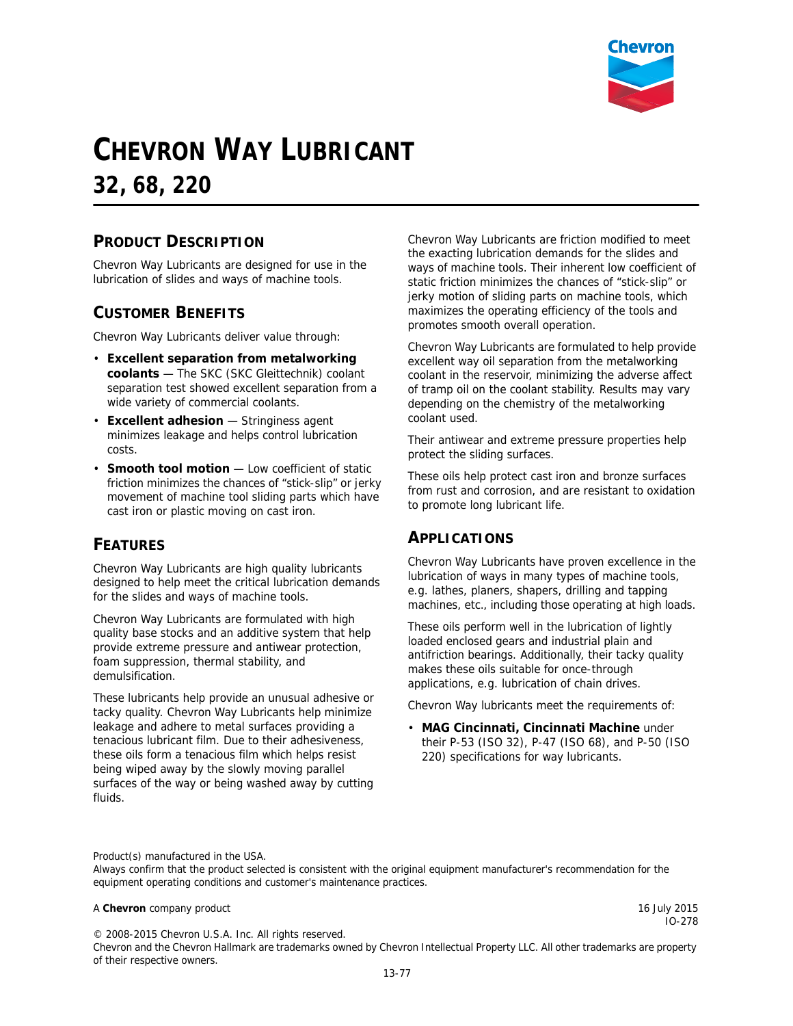

# **CHEVRON WAY LUBRICANT**

**32, 68, 220**

### **PRODUCT DESCRIPTION**

Chevron Way Lubricants are designed for use in the lubrication of slides and ways of machine tools.

#### **CUSTOMER BENEFITS**

Chevron Way Lubricants deliver value through:

- **Excellent separation from metalworking coolants** — The SKC (SKC Gleittechnik) coolant separation test showed excellent separation from a wide variety of commercial coolants.
- **Excellent adhesion** Stringiness agent minimizes leakage and helps control lubrication costs.
- **Smooth tool motion** Low coefficient of static friction minimizes the chances of "stick-slip" or jerky movement of machine tool sliding parts which have cast iron or plastic moving on cast iron.

#### **FEATURES**

Chevron Way Lubricants are high quality lubricants designed to help meet the critical lubrication demands for the slides and ways of machine tools.

Chevron Way Lubricants are formulated with high quality base stocks and an additive system that help provide extreme pressure and antiwear protection, foam suppression, thermal stability, and demulsification.

These lubricants help provide an unusual adhesive or tacky quality. Chevron Way Lubricants help minimize leakage and adhere to metal surfaces providing a tenacious lubricant film. Due to their adhesiveness, these oils form a tenacious film which helps resist being wiped away by the slowly moving parallel surfaces of the way or being washed away by cutting fluids.

Chevron Way Lubricants are friction modified to meet the exacting lubrication demands for the slides and ways of machine tools. Their inherent low coefficient of static friction minimizes the chances of "stick-slip" or jerky motion of sliding parts on machine tools, which maximizes the operating efficiency of the tools and promotes smooth overall operation.

Chevron Way Lubricants are formulated to help provide excellent way oil separation from the metalworking coolant in the reservoir, minimizing the adverse affect of tramp oil on the coolant stability. Results may vary depending on the chemistry of the metalworking coolant used.

Their antiwear and extreme pressure properties help protect the sliding surfaces.

These oils help protect cast iron and bronze surfaces from rust and corrosion, and are resistant to oxidation to promote long lubricant life.

#### **APPLICATIONS**

Chevron Way Lubricants have proven excellence in the lubrication of ways in many types of machine tools, e.g. lathes, planers, shapers, drilling and tapping machines, etc., including those operating at high loads.

These oils perform well in the lubrication of lightly loaded enclosed gears and industrial plain and antifriction bearings. Additionally, their tacky quality makes these oils suitable for once-through applications, e.g. lubrication of chain drives.

Chevron Way lubricants meet the requirements of:

• **MAG Cincinnati, Cincinnati Machine** under their P-53 (ISO 32), P-47 (ISO 68), and P-50 (ISO 220) specifications for way lubricants.

Product(s) manufactured in the USA.

Always confirm that the product selected is consistent with the original equipment manufacturer's recommendation for the equipment operating conditions and customer's maintenance practices.

#### A **Chevron** company product **16 July 2015 16 July 2015**

IO-278

© 2008-2015 Chevron U.S.A. Inc. All rights reserved.

Chevron and the Chevron Hallmark are trademarks owned by Chevron Intellectual Property LLC. All other trademarks are property of their respective owners.